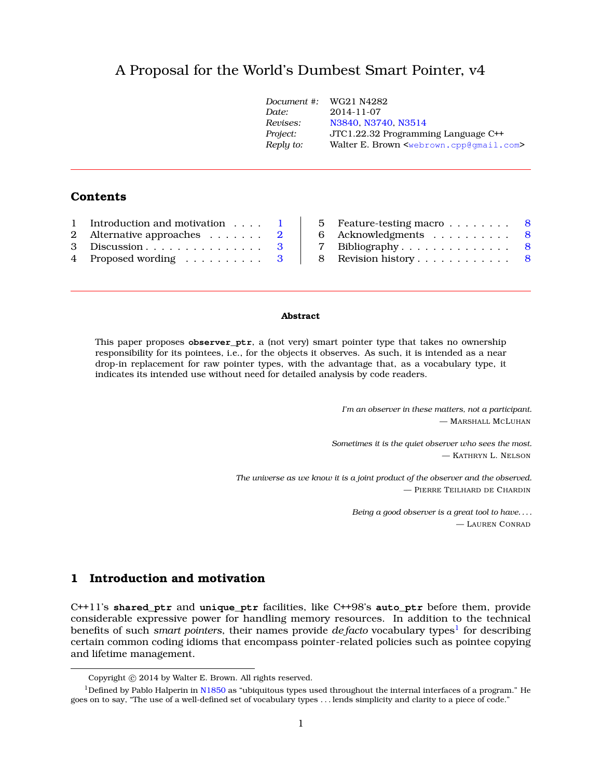# A Proposal for the World's Dumbest Smart Pointer, v[4](#page-0-0)

| Document #: | WG21 N4282                                                      |
|-------------|-----------------------------------------------------------------|
| Date:       | $2014 - 11 - 07$                                                |
| Revises:    | N3840, N3740, N3514                                             |
| Project:    | JTC1.22.32 Programming Language C++                             |
| Reply to:   | Walter E. Brown <webrown.cpp@gmail.com></webrown.cpp@gmail.com> |
|             |                                                                 |

# **Contents**

| 1 Introduction and motivation 1     |  |
|-------------------------------------|--|
| 2 Alternative approaches $\ldots$ 2 |  |
| 3 Discussion $3$                    |  |
| 4 Proposed wording 3                |  |

| 5 Feature-testing macro $\ldots \ldots \ldots$ 8 |  |
|--------------------------------------------------|--|
| 6 Acknowledgments 8                              |  |
| 7 Bibliography $8$                               |  |
| 8 Revision history 8                             |  |
|                                                  |  |

#### **Abstract**

This paper proposes **observer** ptr, a (not very) smart pointer type that takes no ownership responsibility for its pointees, i.e., for the objects it observes. As such, it is intended as a near drop-in replacement for raw pointer types, with the advantage that, as a vocabulary type, it indicates its intended use without need for detailed analysis by code readers.

> *I'm an observer in these matters, not a participant.* — MARSHALL MCLUHAN

*Sometimes it is the quiet observer who sees the most.* — KATHRYN L. NELSON

*The universe as we know it is a joint product of the observer and the observed.* — PIERRE TEILHARD DE CHARDIN

> *Being a good observer is a great tool to have. . . .* — LAUREN CONRAD

# <span id="page-0-1"></span>**1 Introduction and motivation**

C++11's **shared\_ptr** and **unique\_ptr** facilities, like C++98's **auto\_ptr** before them, provide considerable expressive power for handling memory resources. In addition to the technical benefits of such *smart pointers*, their names provide *de facto* vocabulary types<sup>[1](#page-0-2)</sup> for describing certain common coding idioms that encompass pointer-related policies such as pointee copying and lifetime management.

<span id="page-0-2"></span><span id="page-0-0"></span>Copyright © 2014 by Walter E. Brown. All rights reserved.

 $1$ Defined by Pablo Halperin in [N1850](http://www.open-std.org/jtc1/sc22/wg21/docs/papers/2005/n1850.pdf) as "ubiquitous types used throughout the internal interfaces of a program." He goes on to say, "The use of a well-defined set of vocabulary types . . . lends simplicity and clarity to a piece of code."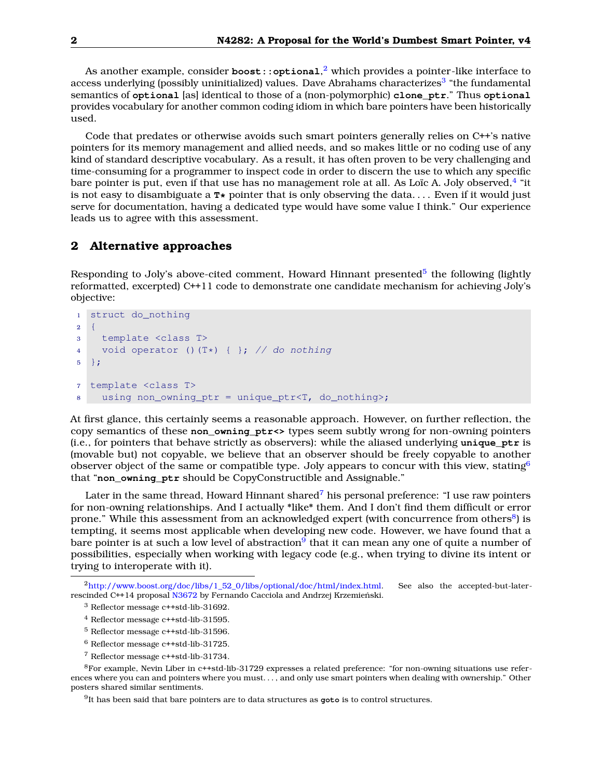As another example, consider  $\mathsf{boost}::\mathsf{optional,}^2$  $\mathsf{boost}::\mathsf{optional,}^2$  which provides a pointer-like interface to access underlying (possibly uninitialized) values. Dave Abrahams characterizes<sup>[3](#page-1-2)</sup> "the fundamental semantics of **optional** [as] identical to those of a (non-polymorphic) **clone\_ptr**." Thus **optional** provides vocabulary for another common coding idiom in which bare pointers have been historically used.

Code that predates or otherwise avoids such smart pointers generally relies on C++'s native pointers for its memory management and allied needs, and so makes little or no coding use of any kind of standard descriptive vocabulary. As a result, it has often proven to be very challenging and time-consuming for a programmer to inspect code in order to discern the use to which any specific bare pointer is put, even if that use has no management role at all. As Loïc A. Joly observed, $^4$  $^4$  "it is not easy to disambiguate a **T\*** pointer that is only observing the data. . . . Even if it would just serve for documentation, having a dedicated type would have some value I think." Our experience leads us to agree with this assessment.

### <span id="page-1-0"></span>**2 Alternative approaches**

Responding to Joly's above-cited comment, Howard Hinnant presented<sup>[5](#page-1-4)</sup> the following (lightly reformatted, excerpted) C++11 code to demonstrate one candidate mechanism for achieving Joly's objective:

```
1 struct do_nothing
2 \quad \{3 template <class T>
4 void operator ()(T*) \{\,\}; // do nothing
5 };
7 template <class T>
8 using non owning ptr = unique ptr<T, do nothing>;
```
At first glance, this certainly seems a reasonable approach. However, on further reflection, the copy semantics of these **non\_owning\_ptr<>** types seem subtly wrong for non-owning pointers (i.e., for pointers that behave strictly as observers): while the aliased underlying **unique\_ptr** is (movable but) not copyable, we believe that an observer should be freely copyable to another observer object of the same or compatible type. Joly appears to concur with this view, stating<sup>[6](#page-1-5)</sup> that "**non\_owning\_ptr** should be CopyConstructible and Assignable."

Later in the same thread, Howard Hinnant shared<sup>[7](#page-1-6)</sup> his personal preference: "I use raw pointers for non-owning relationships. And I actually \*like\* them. And I don't find them difficult or error prone." While this assessment from an acknowledged expert (with concurrence from others<sup>[8](#page-1-7)</sup>) is tempting, it seems most applicable when developing new code. However, we have found that a bare pointer is at such a low level of abstraction<sup>[9](#page-1-8)</sup> that it can mean any one of quite a number of possibilities, especially when working with legacy code (e.g., when trying to divine its intent or trying to interoperate with it).

- <span id="page-1-4"></span><sup>5</sup> Reflector message c++std-lib-31596.
- <span id="page-1-5"></span><sup>6</sup> Reflector message c++std-lib-31725.
- <span id="page-1-7"></span><span id="page-1-6"></span><sup>7</sup> Reflector message c++std-lib-31734.

<sup>8</sup>For example, Nevin Liber in c++std-lib-31729 expresses a related preference: "for non-owning situations use references where you can and pointers where you must. . . , and only use smart pointers when dealing with ownership." Other posters shared similar sentiments.

<span id="page-1-8"></span>9 It has been said that bare pointers are to data structures as **goto** is to control structures.

<span id="page-1-1"></span> $^{2}$ [http://www.boost.org/doc/libs/1\\_52\\_0/libs/optional/doc/html/index.html.](http://www.boost.org/doc/libs/1_52_0/libs/optional/doc/html/index.html) See also the accepted-but-later-rescinded C++14 proposal [N3672](http://www.open-std.org/jtc1/sc22/wg21/docs/papers/2013/n3406.html) by Fernando Cacciola and Andrzej Krzemieński.

<span id="page-1-2"></span><sup>3</sup> Reflector message c++std-lib-31692.

<span id="page-1-3"></span><sup>4</sup> Reflector message c++std-lib-31595.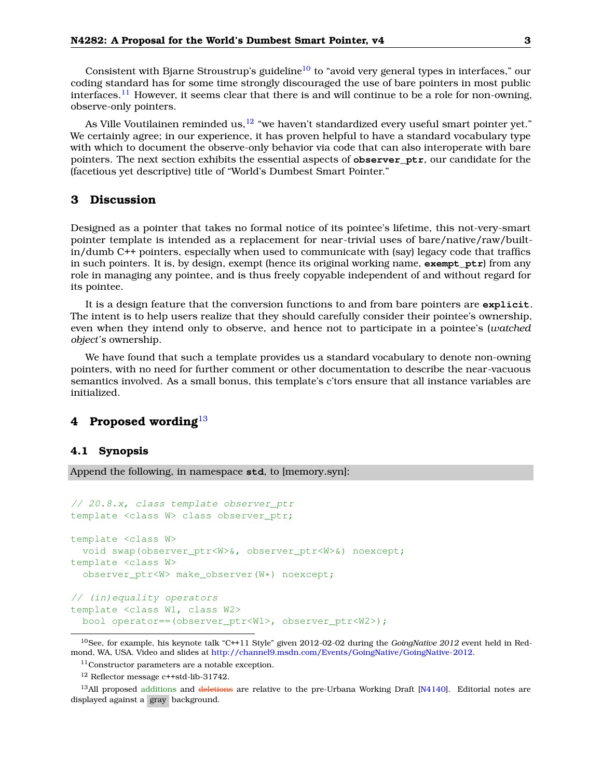Consistent with Bjarne Stroustrup's guideline<sup>[10](#page-2-2)</sup> to "avoid very general types in interfaces," our coding standard has for some time strongly discouraged the use of bare pointers in most public interfaces.<sup>[11](#page-2-3)</sup> However, it seems clear that there is and will continue to be a role for non-owning, observe-only pointers.

As Ville Voutilainen reminded us,  $12$  "we haven't standardized every useful smart pointer yet." We certainly agree; in our experience, it has proven helpful to have a standard vocabulary type with which to document the observe-only behavior via code that can also interoperate with bare pointers. The next section exhibits the essential aspects of **observer\_ptr**, our candidate for the (facetious yet descriptive) title of "World's Dumbest Smart Pointer."

# <span id="page-2-0"></span>**3 Discussion**

Designed as a pointer that takes no formal notice of its pointee's lifetime, this not-very-smart pointer template is intended as a replacement for near-trivial uses of bare/native/raw/builtin/dumb C++ pointers, especially when used to communicate with (say) legacy code that traffics in such pointers. It is, by design, exempt (hence its original working name, **exempt\_ptr**) from any role in managing any pointee, and is thus freely copyable independent of and without regard for its pointee.

It is a design feature that the conversion functions to and from bare pointers are **explicit**. The intent is to help users realize that they should carefully consider their pointee's ownership, even when they intend only to observe, and hence not to participate in a pointee's (*watched object's* ownership.

We have found that such a template provides us a standard vocabulary to denote non-owning pointers, with no need for further comment or other documentation to describe the near-vacuous semantics involved. As a small bonus, this template's c'tors ensure that all instance variables are initialized.

# <span id="page-2-1"></span>**4 Proposed wording**[13](#page-2-5)

### **4.1 Synopsis**

Append the following, in namespace **std**, to [memory.syn]:

```
// 20.8.x, class template observer_ptr
template <class W> class observer_ptr;
template <class W>
  void swap(observer_ptr<W>&, observer_ptr<W>&) noexcept;
template <class W>
  observer_ptr<W> make_observer(W*) noexcept;
// (in)equality operators
template <class W1, class W2>
 bool operator==(observer_ptr<W1>, observer_ptr<W2>);
```
<span id="page-2-2"></span><sup>10</sup>See, for example, his keynote talk "C++11 Style" given 2012-02-02 during the *GoingNative 2012* event held in Redmond, WA, USA. Video and slides at [http://channel9.msdn.com/Events/GoingNative/GoingNative-2012.](http://channel9.msdn.com/Events/GoingNative/GoingNative-2012)

<span id="page-2-3"></span><sup>11</sup>Constructor parameters are a notable exception.

<span id="page-2-5"></span><span id="page-2-4"></span><sup>12</sup> Reflector message c++std-lib-31742.

<sup>&</sup>lt;sup>13</sup>All proposed additions and deletions are relative to the pre-Urbana Working Draft [\[N4140\]](#page-7-4). Editorial notes are displayed against a gray background.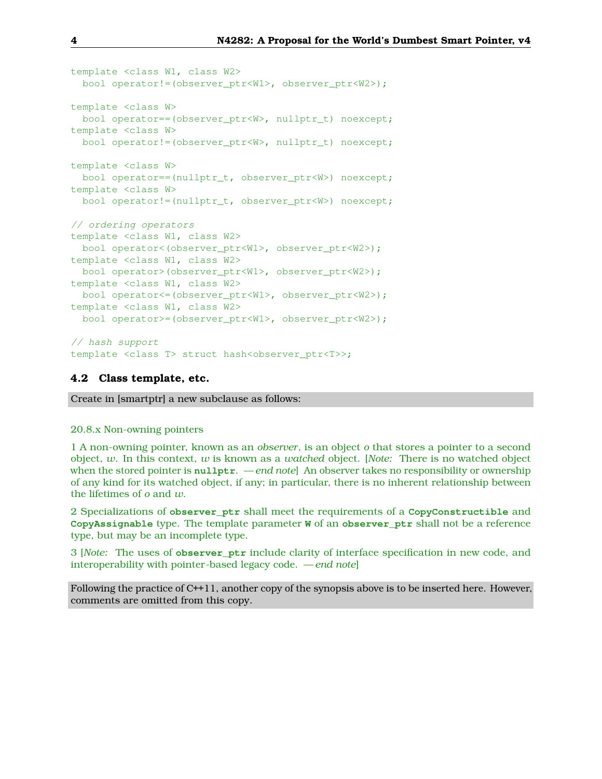```
template <class W1, class W2>
 bool operator!=(observer_ptr<W1>, observer_ptr<W2>);
template <class W>
 bool operator==(observer_ptr<W>, nullptr_t) noexcept;
template <class W>
 bool operator!=(observer_ptr<W>, nullptr_t) noexcept;
template <class W>
 bool operator==(nullptr_t, observer_ptr<W>) noexcept;
template <class W>
 bool operator!=(nullptr_t, observer_ptr<W>) noexcept;
// ordering operators
template <class W1, class W2>
 bool operator<(observer_ptr<W1>, observer_ptr<W2>);
template <class W1, class W2>
 bool operator>(observer_ptr<W1>, observer_ptr<W2>);
template <class W1, class W2>
 bool operator<=(observer_ptr<W1>, observer_ptr<W2>);
template <class W1, class W2>
 bool operator>=(observer_ptr<W1>, observer_ptr<W2>);
// hash support
template <class T> struct hash<observer_ptr<T>>;
```
### **4.2 Class template, etc.**

Create in [smartptr] a new subclause as follows:

#### 20.8.x Non-owning pointers

1 A non-owning pointer, known as an *observer*, is an object *o* that stores a pointer to a second object, *w*. In this context, *w* is known as a *watched* object. [*Note:* There is no watched object when the stored pointer is **nullptr**. —*end note*] An observer takes no responsibility or ownership of any kind for its watched object, if any; in particular, there is no inherent relationship between the lifetimes of *o* and *w*.

2 Specializations of **observer\_ptr** shall meet the requirements of a **CopyConstructible** and **CopyAssignable** type. The template parameter **W** of an **observer\_ptr** shall not be a reference type, but may be an incomplete type.

3 [*Note:* The uses of **observer\_ptr** include clarity of interface specification in new code, and interoperability with pointer-based legacy code. — *end note*]

Following the practice of C++11, another copy of the synopsis above is to be inserted here. However, comments are omitted from this copy.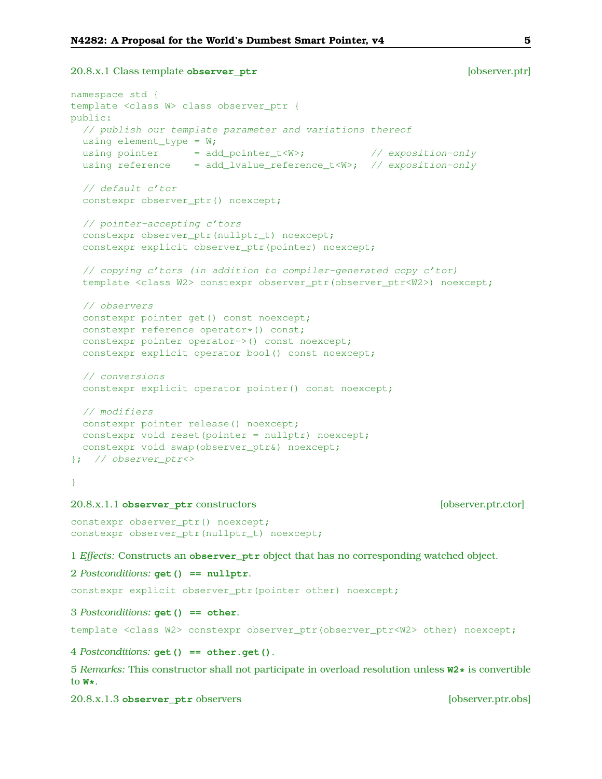```
20.8.x.1 Class template observer_ptr [observer.ptr]
```

```
namespace std {
template <class W> class observer_ptr {
public:
  // publish our template parameter and variations thereof
 using element_type = W;
 using pointer = add\_pointer_t< W>; \qquad \qquad // \text{ exposition-only}using reference = add\_lvalue\_reference_t < W; // exposition-only
  // default c'tor
  constexpr observer_ptr() noexcept;
  // pointer-accepting c'tors
  constexpr observer_ptr(nullptr_t) noexcept;
  constexpr explicit observer_ptr(pointer) noexcept;
  // copying c'tors (in addition to compiler-generated copy c'tor)
  template <class W2> constexpr observer ptr(observer ptr<W2>) noexcept;
  // observers
  constexpr pointer get() const noexcept;
  constexpr reference operator*() const;
  constexpr pointer operator->() const noexcept;
  constexpr explicit operator bool() const noexcept;
  // conversions
  constexpr explicit operator pointer() const noexcept;
 // modifiers
 constexpr pointer release() noexcept;
 constexpr void reset(pointer = nullptr) noexcept;
 constexpr void swap(observer_ptr&) noexcept;
}; // observer_ptr<>
}
```
### 20.8.x.1.1 **observer\_ptr** constructors [observer.ptr.ctor]

constexpr observer ptr() noexcept; constexpr observer\_ptr(nullptr\_t) noexcept;

1 *Effects:* Constructs an **observer\_ptr** object that has no corresponding watched object.

#### 2 *Postconditions:* **get() == nullptr**.

constexpr explicit observer\_ptr(pointer other) noexcept;

#### 3 *Postconditions:* **get() == other**.

template <class W2> constexpr observer\_ptr(observer\_ptr<W2> other) noexcept;

### 4 *Postconditions:* **get() == other.get()**.

5 *Remarks:* This constructor shall not participate in overload resolution unless **W2\*** is convertible to **W\***.

#### 20.8.x.1.3 **observer\_ptr** observers [observer.ptr.obs]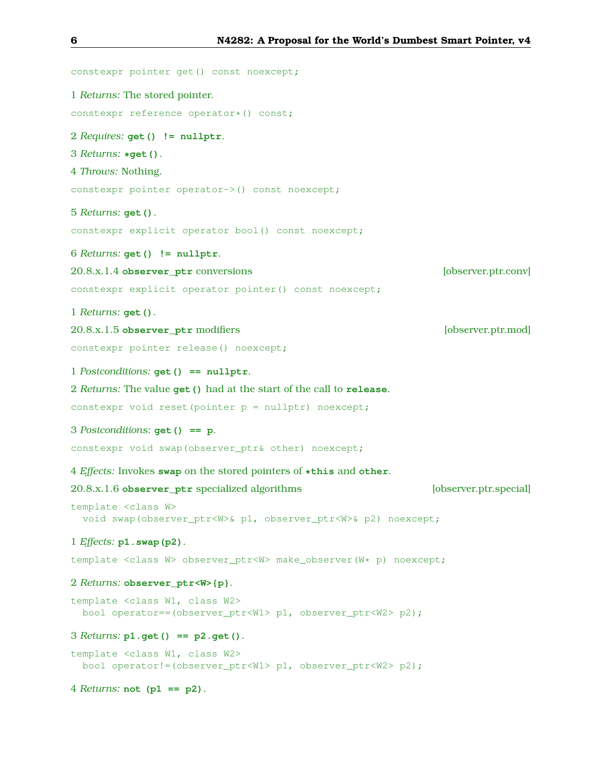```
constexpr pointer get() const noexcept;
1 Returns: The stored pointer.
constexpr reference operator*() const;
2 Requires: get() != nullptr.
3 Returns: *get().
4 Throws: Nothing.
constexpr pointer operator->() const noexcept;
5 Returns: get().
constexpr explicit operator bool() const noexcept;
6 Returns: get() != nullptr.
20.8.x.1.4 observer_ptr conversions [observer.ptr.conv]
constexpr explicit operator pointer() const noexcept;
1 Returns: get().
20.8.x.1.5 observer_ptr modifiers [observer.ptr.mod]
constexpr pointer release() noexcept;
1 Postconditions: get() == nullptr.
2 Returns: The value get() had at the start of the call to release.
constexpr void reset(pointer p = nullptr) noexcept;
3 Postconditions: get() == p.
constexpr void swap(observer_ptr& other) noexcept;
4 Effects: Invokes swap on the stored pointers of *this and other.
20.8.x.1.6 observer_ptr specialized algorithms [observer.ptr.special]
template <class W>
  void swap(observer_ptr<W>& p1, observer_ptr<W>& p2) noexcept;
1 Effects: p1.swap(p2).
template <class W> observer_ptr<W> make_observer(W* p) noexcept;
2 Returns: observer_ptr<W>{p}.
template <class W1, class W2>
 bool operator==(observer_ptr<W1> p1, observer_ptr<W2> p2);
3 Returns: p1.get() == p2.get().
template <class W1, class W2>
 bool operator!=(observer_ptr<W1> p1, observer_ptr<W2> p2);
4 Returns: not (p1 == p2).
```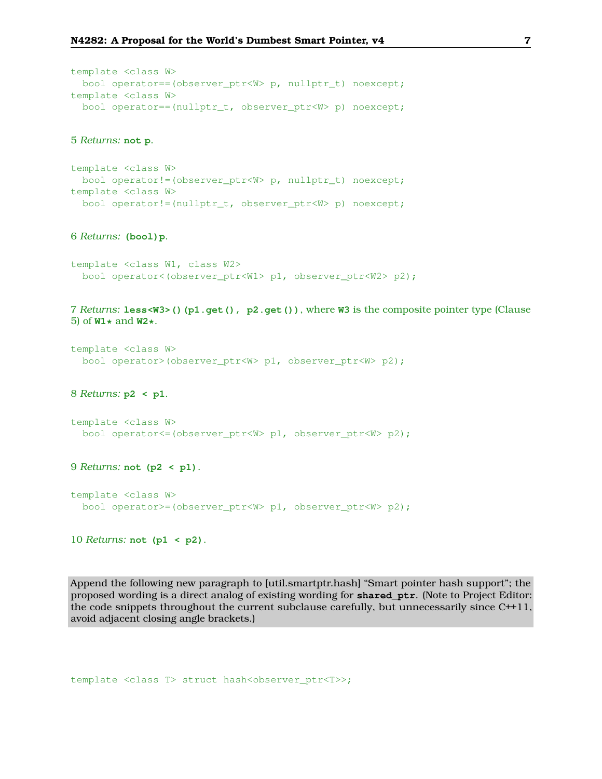```
template <class W>
 bool operator==(observer_ptr<W> p, nullptr_t) noexcept;
template <class W>
 bool operator==(nullptr_t, observer_ptr<W> p) noexcept;
```
#### 5 *Returns:* **not p**.

```
template <class W>
 bool operator!=(observer_ptr<W> p, nullptr_t) noexcept;
template <class W>
 bool operator!=(nullptr_t, observer_ptr<W> p) noexcept;
```
#### 6 *Returns:* **(bool)p**.

```
template <class W1, class W2>
 bool operator<(observer_ptr<W1> p1, observer_ptr<W2> p2);
```
7 *Returns:* **less<W3>()(p1.get(), p2.get())**, where **W3** is the composite pointer type (Clause 5) of **W1\*** and **W2\***.

```
template <class W>
 bool operator>(observer_ptr<W> p1, observer_ptr<W> p2);
```
#### 8 *Returns:* **p2 < p1**.

```
template <class W>
 bool operator<=(observer_ptr<W> p1, observer_ptr<W> p2);
```
### 9 *Returns:* **not (p2 < p1)**.

```
template <class W>
 bool operator>=(observer_ptr<W> p1, observer_ptr<W> p2);
```
### 10 *Returns:* **not (p1 < p2)**.

Append the following new paragraph to [util.smartptr.hash] "Smart pointer hash support"; the proposed wording is a direct analog of existing wording for **shared\_ptr**. (Note to Project Editor: the code snippets throughout the current subclause carefully, but unnecessarily since C++11, avoid adjacent closing angle brackets.)

template <class T> struct hash<observer\_ptr<T>>;